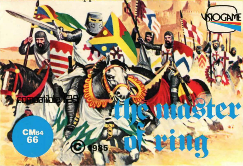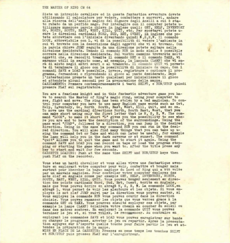## THE MASTER OF RING CM 64

Siete un intrepido cavaliere ed in questa fantastica avventura dovete utilizzando il calcolatore per vedere, combattere e muovervi, andare alla ricerca dell'anello magico del Signore degli Anelli a cui è stato rubato da un perfido mago. Per interagire con il computer potete utiligante muerose parole chiave in incluses qualitimary HEMP, VIVENCORE, 1983, 1983, 1983, 1983, 1983, 1983, 1<br>90, NOREM, SOUTH, EAST, WEST, KILL, QUIT, etc. Per spostaryi potete u-<br>9are le dipreviare con l'iniziale divent LOOK, abbreviabile con L, vi dà la possibilità di vedere l'ambiente in oui vi trovate con la descrizione degli oggetti che vi si trovano. Con la parola chiave JUMP seguita da una direzione potete saltare nella direzione desiderata. Usando il comando RUN in modo simile è possibile correre nella direzione desiderata. Sul vostro cammino troverete molti oggetti che, se raccolti tramite il comando GET o il comando TAKE, vi saranno utili in seguito come, ad esempio, la lampada (LAMP) che vi sarà di aiuto negli antri scuri o al tranonto. Il comando OUIT vi permette di terminare il gioco con la possibilità di iniziare da capo. Con i comandi SAVE e LOAD è possibile, invece, registrare o caricare il programma, fermandosi o riprendendo il gioco al punto desiderato. Dopo l'intestazione premete un tasto qualsiasi per inizializzare il gioco ed attendete alcuni secondi per la preparazione della mappa. CARICAMENTO: Premere contemporaneamente i tasti SHIFT, e RUN/STOP quindi premere PLAY sul registratore.

You are a fearless knight and in this fantastic adventure game you have to search the Master of Ring's magic ring, using your computer to see, fight and move. The ring has been stolen by a bad magician. To control your computer you have to use many English pass words such as Get, Help, Inventory, Go, North South, East, West, Kill, Quit, and so on. To move use the cardinal directions North, South East, West, that you can make short using only the first letter that is N, S, E, W. The command "LOOK", to make it short "L" gives you the possibility to see where you are and to have the description of the surroundings. Using the pass word "JUMP", followed by a direction, you can jump in the desired direction. Using in the same way command RUN you can run in the desired direction. You will also find many things that you can take up using the command Get or Take and which can later be useful, for example the lamp will help you in the dark caverns or at sunset. The command "quit" allows you to quit the game and to start it again. Using the command SAVE and LOAD you can record on tape or load the program stopping or starting the game when you want to. After the title press any key to start and wait for few seconds. CASSETTE LOADING: Push at the same time SHIFT and RUN/STOP keys then push PLAY on the recorder.

Vous etes un hardi chevalier et vous allez vivre une fantastique aventure en employant votre computer pour voir, combattre et bouger mais surtout pour chercher la bague magique du Lord of Ring qui a èté volèe par un mauvais magicien. Pour controler votre computer employes des mots clef en Anglais comme par example GET, HELP, INVENTORY, NORTH, SOUTH, EAST, WEST, KILL, QUIT. Vous pouves bouger seulement en direction des points cardinaux Nord, Sud, Est, Ouest, écrits en Anglais, mais que vous pouvez ècrire en abregè N, S, E, W. La commande LOOK, en abregé L, vous permet de voir les alentours et les objets. Si vous employez le mot clef JUMP suivi par la direction vous pouvez sauter, si vous employez la commande RUN vous pouvez courir dans la direction choisie. Vous pouves ramasser les objets que vous verrez grace à la commande GET ou TAKE. Vous pourres ensuite employer ces objets, par example la lampe (LAMP) èclairera votre chemin au coucher du soleil ou dans des antres sombres. En employant la commande QUIT vous pouver terminer le jeu et, si vous voulez, le recommencer. Au contraire en

employant les commandes SAVE et LOAD vous pouvez enregistrer sur bande ou charger le programme, arreter le jeu ou repartir. Apres la presentation appuyes sur n'importe quelle touche pour faire partir le jeu et attendez la prèparation de la mappe.

MISE EN PLACE DE LA CASSETTE: Pressez en meme temps les touches SHIPT et RUN/STOP puis pressez FLAY sur l'enregistreur.